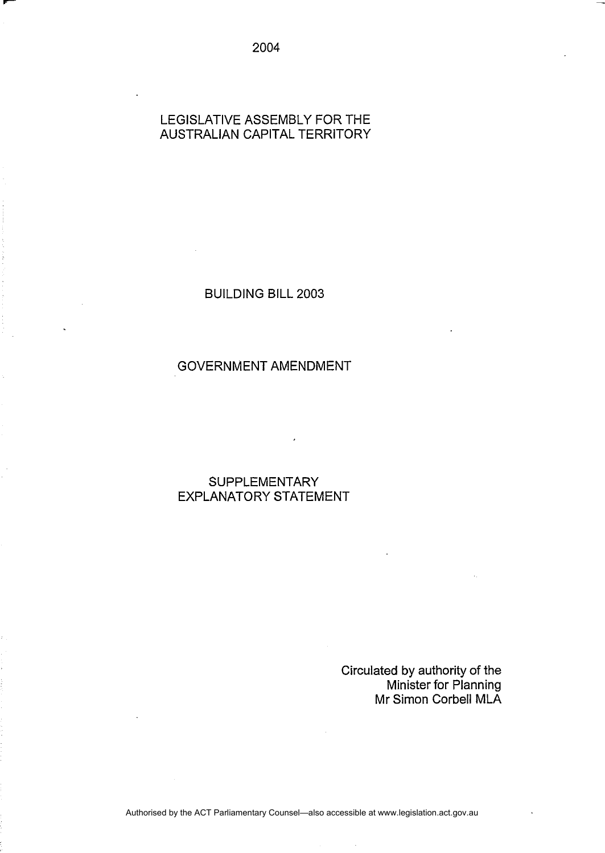#### LEGISLATIVE ASSEMBLY FOR THE AUSTRALIAN CAPITAL TERRITORY

BUILDING BILL 2003

### GOVERNMENT AMENDMENT

# **SUPPLEMENTARY** EXPLANATORY STATEMENT

Circulated by authority of the Minister for Planning Mr Simon Corbell MLA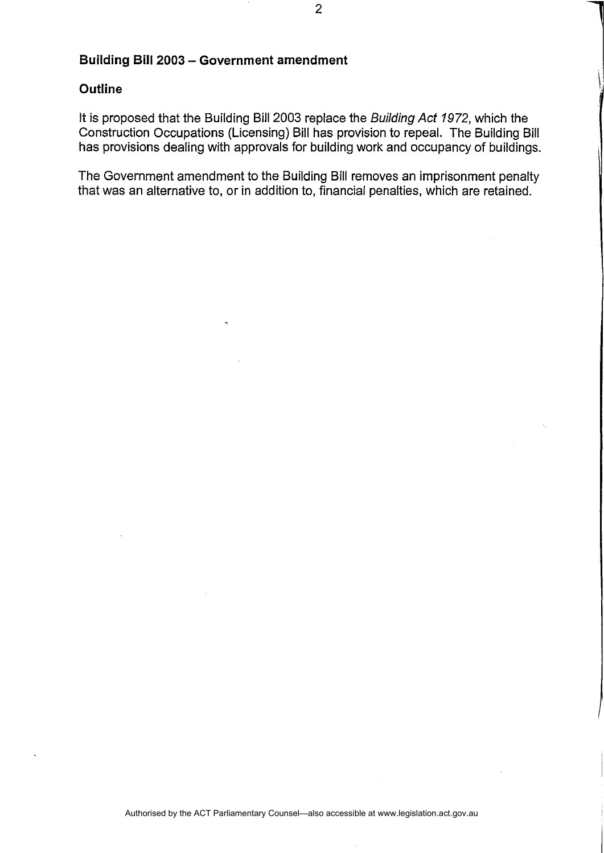#### **Building Bill 2003 - Government amendment**

#### **Outline**

It is proposed that the Building Bill 2003 replace the Building Act 1972, which the Construction Occupations (Licensing) Bill has provision to repeal. The Building Bill has provisions dealing with approvals for building work and occupancy of buildings.

The Government amendment to the Building Bill removes an imprisonment penalty that was an alternative to, or in addition to, financial penalties, which are retained.